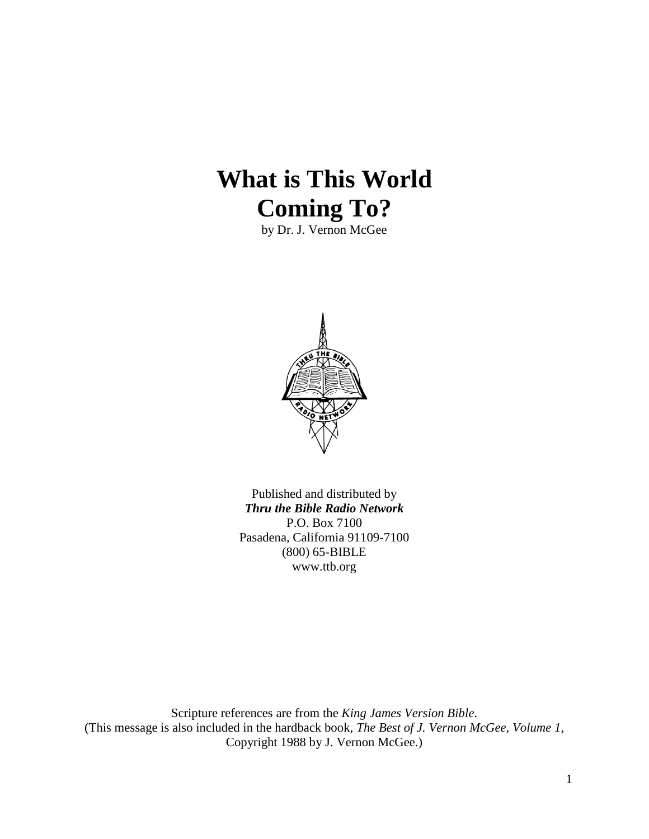# **What is This World Coming To?**

by Dr. J. Vernon McGee



Published and distributed by *Thru the Bible Radio Network* P.O. Box 7100 Pasadena, California 91109-7100 (800) 65-BIBLE www.ttb.org

Scripture references are from the *King James Version Bible*. (This message is also included in the hardback book, *The Best of J. Vernon McGee, Volume 1*, Copyright 1988 by J. Vernon McGee.)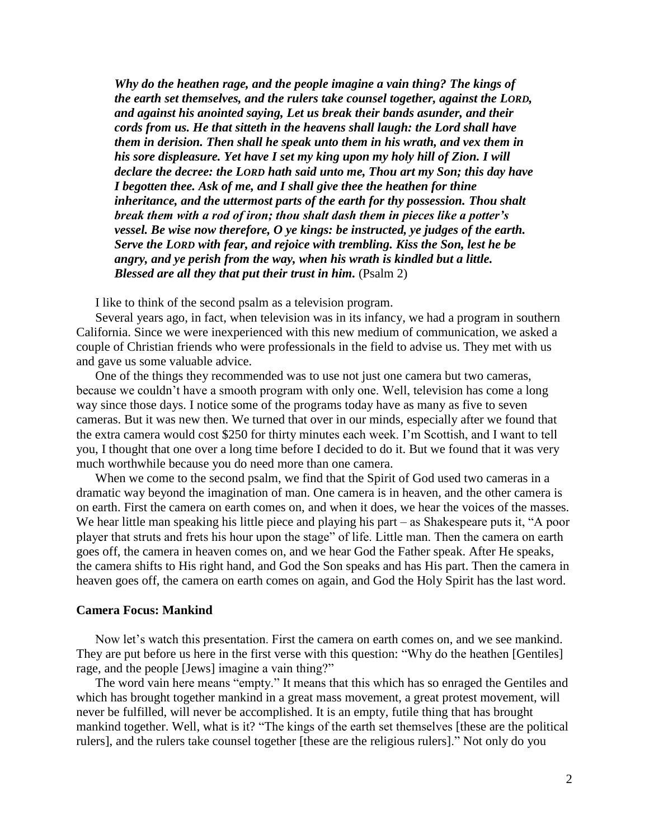*Why do the heathen rage, and the people imagine a vain thing? The kings of the earth set themselves, and the rulers take counsel together, against the LORD, and against his anointed saying, Let us break their bands asunder, and their cords from us. He that sitteth in the heavens shall laugh: the Lord shall have them in derision. Then shall he speak unto them in his wrath, and vex them in his sore displeasure. Yet have I set my king upon my holy hill of Zion. I will declare the decree: the LORD hath said unto me, Thou art my Son; this day have I begotten thee. Ask of me, and I shall give thee the heathen for thine inheritance, and the uttermost parts of the earth for thy possession. Thou shalt break them with a rod of iron; thou shalt dash them in pieces like a potter's vessel. Be wise now therefore, O ye kings: be instructed, ye judges of the earth. Serve the LORD with fear, and rejoice with trembling. Kiss the Son, lest he be angry, and ye perish from the way, when his wrath is kindled but a little. Blessed are all they that put their trust in him.* (Psalm 2)

I like to think of the second psalm as a television program.

Several years ago, in fact, when television was in its infancy, we had a program in southern California. Since we were inexperienced with this new medium of communication, we asked a couple of Christian friends who were professionals in the field to advise us. They met with us and gave us some valuable advice.

One of the things they recommended was to use not just one camera but two cameras, because we couldn"t have a smooth program with only one. Well, television has come a long way since those days. I notice some of the programs today have as many as five to seven cameras. But it was new then. We turned that over in our minds, especially after we found that the extra camera would cost \$250 for thirty minutes each week. I"m Scottish, and I want to tell you, I thought that one over a long time before I decided to do it. But we found that it was very much worthwhile because you do need more than one camera.

When we come to the second psalm, we find that the Spirit of God used two cameras in a dramatic way beyond the imagination of man. One camera is in heaven, and the other camera is on earth. First the camera on earth comes on, and when it does, we hear the voices of the masses. We hear little man speaking his little piece and playing his part – as Shakespeare puts it, "A poor player that struts and frets his hour upon the stage" of life. Little man. Then the camera on earth goes off, the camera in heaven comes on, and we hear God the Father speak. After He speaks, the camera shifts to His right hand, and God the Son speaks and has His part. Then the camera in heaven goes off, the camera on earth comes on again, and God the Holy Spirit has the last word.

#### **Camera Focus: Mankind**

Now let's watch this presentation. First the camera on earth comes on, and we see mankind. They are put before us here in the first verse with this question: "Why do the heathen [Gentiles] rage, and the people [Jews] imagine a vain thing?"

The word vain here means "empty." It means that this which has so enraged the Gentiles and which has brought together mankind in a great mass movement, a great protest movement, will never be fulfilled, will never be accomplished. It is an empty, futile thing that has brought mankind together. Well, what is it? "The kings of the earth set themselves [these are the political rulers], and the rulers take counsel together [these are the religious rulers]." Not only do you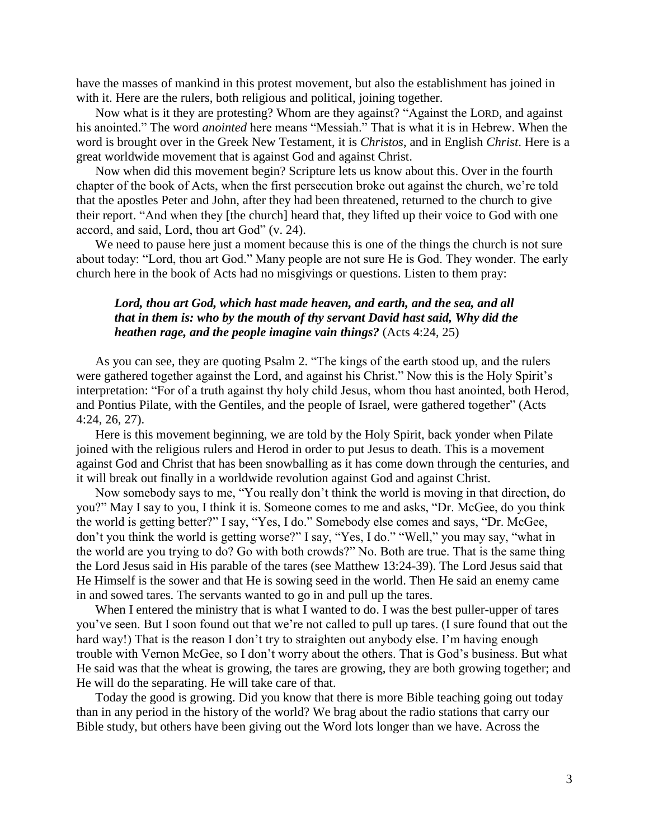have the masses of mankind in this protest movement, but also the establishment has joined in with it. Here are the rulers, both religious and political, joining together.

Now what is it they are protesting? Whom are they against? "Against the LORD, and against his anointed." The word *anointed* here means "Messiah." That is what it is in Hebrew. When the word is brought over in the Greek New Testament, it is *Christos*, and in English *Christ*. Here is a great worldwide movement that is against God and against Christ.

Now when did this movement begin? Scripture lets us know about this. Over in the fourth chapter of the book of Acts, when the first persecution broke out against the church, we"re told that the apostles Peter and John, after they had been threatened, returned to the church to give their report. "And when they [the church] heard that, they lifted up their voice to God with one accord, and said, Lord, thou art God" (v. 24).

We need to pause here just a moment because this is one of the things the church is not sure about today: "Lord, thou art God." Many people are not sure He is God. They wonder. The early church here in the book of Acts had no misgivings or questions. Listen to them pray:

## *Lord, thou art God, which hast made heaven, and earth, and the sea, and all that in them is: who by the mouth of thy servant David hast said, Why did the heathen rage, and the people imagine vain things?* (Acts 4:24, 25)

As you can see, they are quoting Psalm 2. "The kings of the earth stood up, and the rulers were gathered together against the Lord, and against his Christ." Now this is the Holy Spirit's interpretation: "For of a truth against thy holy child Jesus, whom thou hast anointed, both Herod, and Pontius Pilate, with the Gentiles, and the people of Israel, were gathered together" (Acts 4:24, 26, 27).

Here is this movement beginning, we are told by the Holy Spirit, back yonder when Pilate joined with the religious rulers and Herod in order to put Jesus to death. This is a movement against God and Christ that has been snowballing as it has come down through the centuries, and it will break out finally in a worldwide revolution against God and against Christ.

Now somebody says to me, "You really don"t think the world is moving in that direction, do you?" May I say to you, I think it is. Someone comes to me and asks, "Dr. McGee, do you think the world is getting better?" I say, "Yes, I do." Somebody else comes and says, "Dr. McGee, don"t you think the world is getting worse?" I say, "Yes, I do." "Well," you may say, "what in the world are you trying to do? Go with both crowds?" No. Both are true. That is the same thing the Lord Jesus said in His parable of the tares (see Matthew 13:24-39). The Lord Jesus said that He Himself is the sower and that He is sowing seed in the world. Then He said an enemy came in and sowed tares. The servants wanted to go in and pull up the tares.

When I entered the ministry that is what I wanted to do. I was the best puller-upper of tares you"ve seen. But I soon found out that we"re not called to pull up tares. (I sure found that out the hard way!) That is the reason I don't try to straighten out anybody else. I'm having enough trouble with Vernon McGee, so I don"t worry about the others. That is God"s business. But what He said was that the wheat is growing, the tares are growing, they are both growing together; and He will do the separating. He will take care of that.

Today the good is growing. Did you know that there is more Bible teaching going out today than in any period in the history of the world? We brag about the radio stations that carry our Bible study, but others have been giving out the Word lots longer than we have. Across the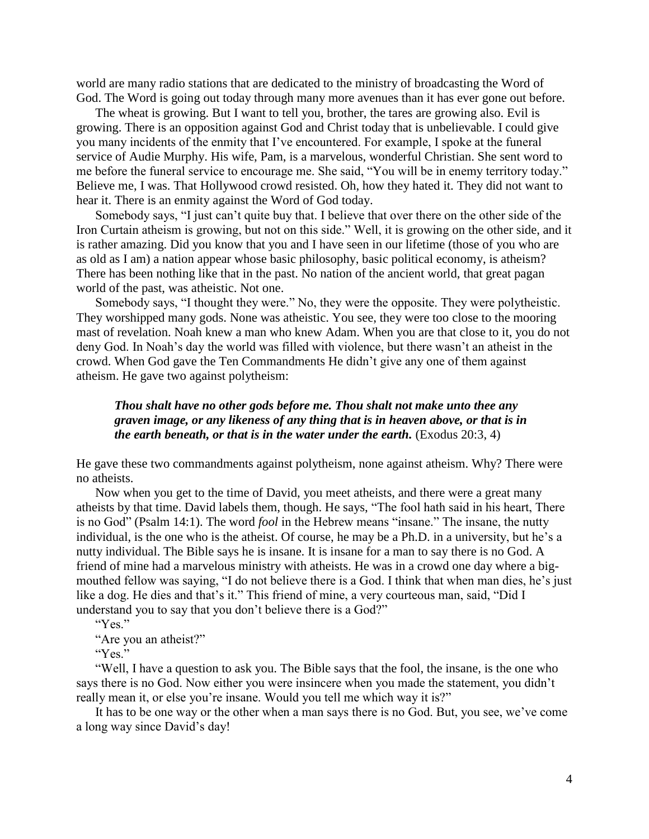world are many radio stations that are dedicated to the ministry of broadcasting the Word of God. The Word is going out today through many more avenues than it has ever gone out before.

The wheat is growing. But I want to tell you, brother, the tares are growing also. Evil is growing. There is an opposition against God and Christ today that is unbelievable. I could give you many incidents of the enmity that I"ve encountered. For example, I spoke at the funeral service of Audie Murphy. His wife, Pam, is a marvelous, wonderful Christian. She sent word to me before the funeral service to encourage me. She said, "You will be in enemy territory today." Believe me, I was. That Hollywood crowd resisted. Oh, how they hated it. They did not want to hear it. There is an enmity against the Word of God today.

Somebody says, "I just can't quite buy that. I believe that over there on the other side of the Iron Curtain atheism is growing, but not on this side." Well, it is growing on the other side, and it is rather amazing. Did you know that you and I have seen in our lifetime (those of you who are as old as I am) a nation appear whose basic philosophy, basic political economy, is atheism? There has been nothing like that in the past. No nation of the ancient world, that great pagan world of the past, was atheistic. Not one.

Somebody says, "I thought they were." No, they were the opposite. They were polytheistic. They worshipped many gods. None was atheistic. You see, they were too close to the mooring mast of revelation. Noah knew a man who knew Adam. When you are that close to it, you do not deny God. In Noah's day the world was filled with violence, but there wasn't an atheist in the crowd. When God gave the Ten Commandments He didn"t give any one of them against atheism. He gave two against polytheism:

## *Thou shalt have no other gods before me. Thou shalt not make unto thee any graven image, or any likeness of any thing that is in heaven above, or that is in the earth beneath, or that is in the water under the earth.* (Exodus 20:3, 4)

He gave these two commandments against polytheism, none against atheism. Why? There were no atheists.

Now when you get to the time of David, you meet atheists, and there were a great many atheists by that time. David labels them, though. He says, "The fool hath said in his heart, There is no God" (Psalm 14:1). The word *fool* in the Hebrew means "insane." The insane, the nutty individual, is the one who is the atheist. Of course, he may be a Ph.D. in a university, but he"s a nutty individual. The Bible says he is insane. It is insane for a man to say there is no God. A friend of mine had a marvelous ministry with atheists. He was in a crowd one day where a bigmouthed fellow was saying, "I do not believe there is a God. I think that when man dies, he's just like a dog. He dies and that's it." This friend of mine, a very courteous man, said, "Did I understand you to say that you don"t believe there is a God?"

"Yes."

"Are you an atheist?"

"Yes"

"Well, I have a question to ask you. The Bible says that the fool, the insane, is the one who says there is no God. Now either you were insincere when you made the statement, you didn"t really mean it, or else you're insane. Would you tell me which way it is?"

It has to be one way or the other when a man says there is no God. But, you see, we"ve come a long way since David"s day!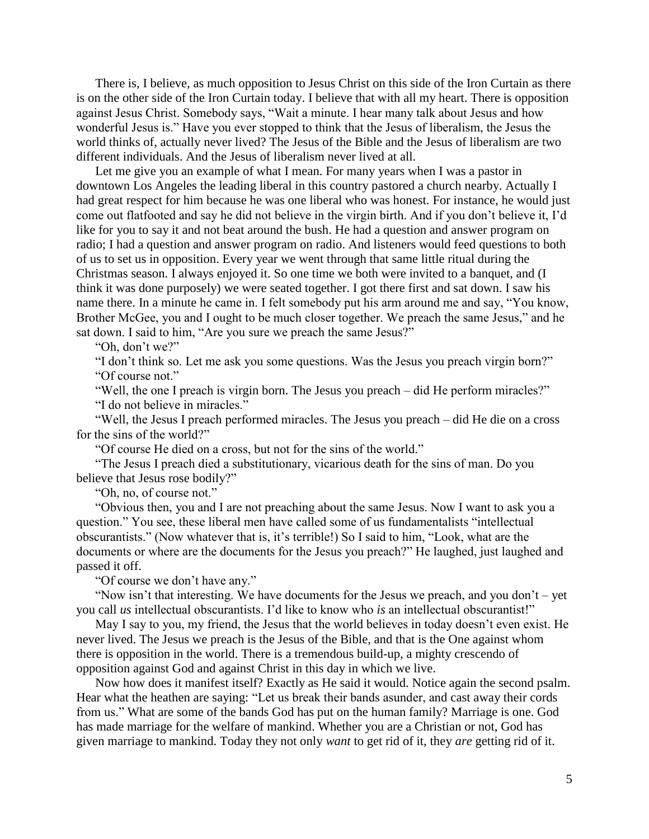There is, I believe, as much opposition to Jesus Christ on this side of the Iron Curtain as there is on the other side of the Iron Curtain today. I believe that with all my heart. There is opposition against Jesus Christ. Somebody says, "Wait a minute. I hear many talk about Jesus and how wonderful Jesus is." Have you ever stopped to think that the Jesus of liberalism, the Jesus the world thinks of, actually never lived? The Jesus of the Bible and the Jesus of liberalism are two different individuals. And the Jesus of liberalism never lived at all.

Let me give you an example of what I mean. For many years when I was a pastor in downtown Los Angeles the leading liberal in this country pastored a church nearby. Actually I had great respect for him because he was one liberal who was honest. For instance, he would just come out flatfooted and say he did not believe in the virgin birth. And if you don"t believe it, I"d like for you to say it and not beat around the bush. He had a question and answer program on radio; I had a question and answer program on radio. And listeners would feed questions to both of us to set us in opposition. Every year we went through that same little ritual during the Christmas season. I always enjoyed it. So one time we both were invited to a banquet, and (I think it was done purposely) we were seated together. I got there first and sat down. I saw his name there. In a minute he came in. I felt somebody put his arm around me and say, "You know, Brother McGee, you and I ought to be much closer together. We preach the same Jesus," and he sat down. I said to him, "Are you sure we preach the same Jesus?"

"Oh, don"t we?"

"I don"t think so. Let me ask you some questions. Was the Jesus you preach virgin born?" "Of course not."

"Well, the one I preach is virgin born. The Jesus you preach – did He perform miracles?" "I do not believe in miracles."

"Well, the Jesus I preach performed miracles. The Jesus you preach – did He die on a cross for the sins of the world?"

"Of course He died on a cross, but not for the sins of the world."

"The Jesus I preach died a substitutionary, vicarious death for the sins of man. Do you believe that Jesus rose bodily?"

"Oh, no, of course not."

"Obvious then, you and I are not preaching about the same Jesus. Now I want to ask you a question." You see, these liberal men have called some of us fundamentalists "intellectual obscurantists." (Now whatever that is, it"s terrible!) So I said to him, "Look, what are the documents or where are the documents for the Jesus you preach?" He laughed, just laughed and passed it off.

"Of course we don"t have any."

"Now isn't that interesting. We have documents for the Jesus we preach, and you don't – yet you call *us* intellectual obscurantists. I"d like to know who *is* an intellectual obscurantist!"

May I say to you, my friend, the Jesus that the world believes in today doesn't even exist. He never lived. The Jesus we preach is the Jesus of the Bible, and that is the One against whom there is opposition in the world. There is a tremendous build-up, a mighty crescendo of opposition against God and against Christ in this day in which we live.

Now how does it manifest itself? Exactly as He said it would. Notice again the second psalm. Hear what the heathen are saying: "Let us break their bands asunder, and cast away their cords from us." What are some of the bands God has put on the human family? Marriage is one. God has made marriage for the welfare of mankind. Whether you are a Christian or not, God has given marriage to mankind. Today they not only *want* to get rid of it, they *are* getting rid of it.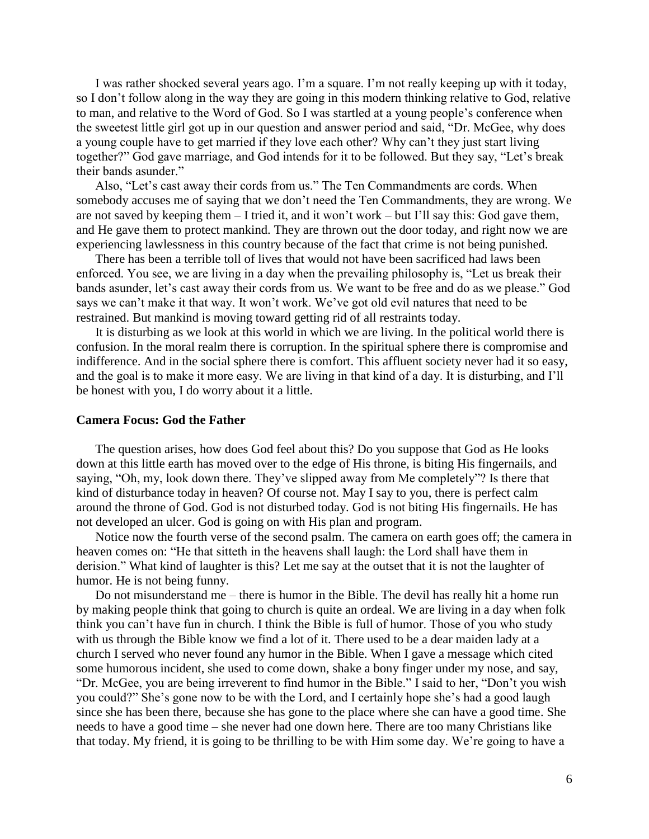I was rather shocked several years ago. I"m a square. I"m not really keeping up with it today, so I don"t follow along in the way they are going in this modern thinking relative to God, relative to man, and relative to the Word of God. So I was startled at a young people"s conference when the sweetest little girl got up in our question and answer period and said, "Dr. McGee, why does a young couple have to get married if they love each other? Why can't they just start living together?" God gave marriage, and God intends for it to be followed. But they say, "Let"s break their bands asunder."

Also, "Let's cast away their cords from us." The Ten Commandments are cords. When somebody accuses me of saying that we don"t need the Ten Commandments, they are wrong. We are not saved by keeping them  $-$  I tried it, and it won't work  $-$  but I'll say this: God gave them, and He gave them to protect mankind. They are thrown out the door today, and right now we are experiencing lawlessness in this country because of the fact that crime is not being punished.

There has been a terrible toll of lives that would not have been sacrificed had laws been enforced. You see, we are living in a day when the prevailing philosophy is, "Let us break their bands asunder, let's cast away their cords from us. We want to be free and do as we please." God says we can't make it that way. It won't work. We've got old evil natures that need to be restrained. But mankind is moving toward getting rid of all restraints today.

It is disturbing as we look at this world in which we are living. In the political world there is confusion. In the moral realm there is corruption. In the spiritual sphere there is compromise and indifference. And in the social sphere there is comfort. This affluent society never had it so easy, and the goal is to make it more easy. We are living in that kind of a day. It is disturbing, and I"ll be honest with you, I do worry about it a little.

#### **Camera Focus: God the Father**

The question arises, how does God feel about this? Do you suppose that God as He looks down at this little earth has moved over to the edge of His throne, is biting His fingernails, and saying, "Oh, my, look down there. They"ve slipped away from Me completely"? Is there that kind of disturbance today in heaven? Of course not. May I say to you, there is perfect calm around the throne of God. God is not disturbed today. God is not biting His fingernails. He has not developed an ulcer. God is going on with His plan and program.

Notice now the fourth verse of the second psalm. The camera on earth goes off; the camera in heaven comes on: "He that sitteth in the heavens shall laugh: the Lord shall have them in derision." What kind of laughter is this? Let me say at the outset that it is not the laughter of humor. He is not being funny.

Do not misunderstand me – there is humor in the Bible. The devil has really hit a home run by making people think that going to church is quite an ordeal. We are living in a day when folk think you can"t have fun in church. I think the Bible is full of humor. Those of you who study with us through the Bible know we find a lot of it. There used to be a dear maiden lady at a church I served who never found any humor in the Bible. When I gave a message which cited some humorous incident, she used to come down, shake a bony finger under my nose, and say, "Dr. McGee, you are being irreverent to find humor in the Bible." I said to her, "Don"t you wish you could?" She's gone now to be with the Lord, and I certainly hope she's had a good laugh since she has been there, because she has gone to the place where she can have a good time. She needs to have a good time – she never had one down here. There are too many Christians like that today. My friend, it is going to be thrilling to be with Him some day. We"re going to have a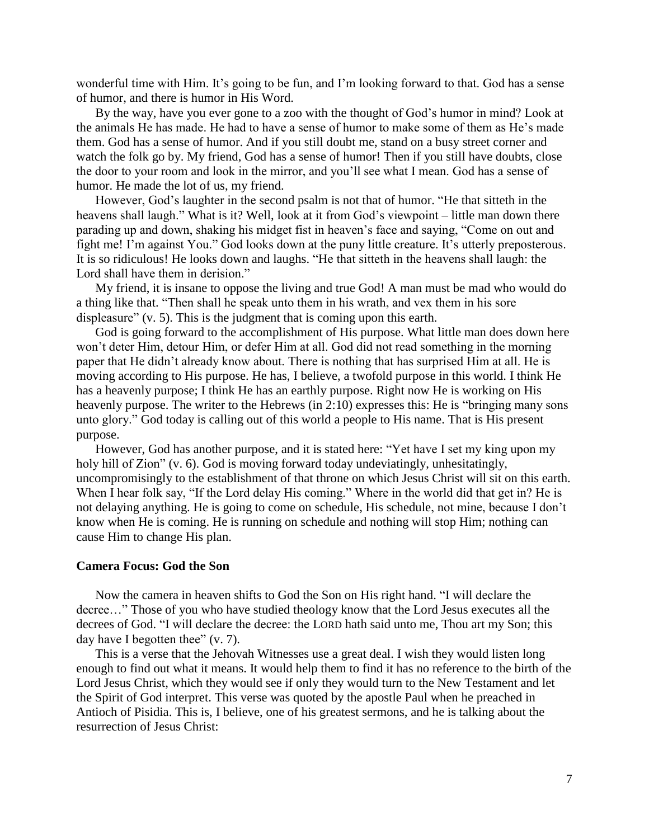wonderful time with Him. It's going to be fun, and I'm looking forward to that. God has a sense of humor, and there is humor in His Word.

By the way, have you ever gone to a zoo with the thought of God"s humor in mind? Look at the animals He has made. He had to have a sense of humor to make some of them as He"s made them. God has a sense of humor. And if you still doubt me, stand on a busy street corner and watch the folk go by. My friend, God has a sense of humor! Then if you still have doubts, close the door to your room and look in the mirror, and you"ll see what I mean. God has a sense of humor. He made the lot of us, my friend.

However, God"s laughter in the second psalm is not that of humor. "He that sitteth in the heavens shall laugh." What is it? Well, look at it from God's viewpoint – little man down there parading up and down, shaking his midget fist in heaven"s face and saying, "Come on out and fight me! I'm against You." God looks down at the puny little creature. It's utterly preposterous. It is so ridiculous! He looks down and laughs. "He that sitteth in the heavens shall laugh: the Lord shall have them in derision."

My friend, it is insane to oppose the living and true God! A man must be mad who would do a thing like that. "Then shall he speak unto them in his wrath, and vex them in his sore displeasure" (v. 5). This is the judgment that is coming upon this earth.

God is going forward to the accomplishment of His purpose. What little man does down here won"t deter Him, detour Him, or defer Him at all. God did not read something in the morning paper that He didn"t already know about. There is nothing that has surprised Him at all. He is moving according to His purpose. He has, I believe, a twofold purpose in this world. I think He has a heavenly purpose; I think He has an earthly purpose. Right now He is working on His heavenly purpose. The writer to the Hebrews (in 2:10) expresses this: He is "bringing many sons unto glory." God today is calling out of this world a people to His name. That is His present purpose.

However, God has another purpose, and it is stated here: "Yet have I set my king upon my holy hill of Zion" (v. 6). God is moving forward today undeviatingly, unhesitatingly, uncompromisingly to the establishment of that throne on which Jesus Christ will sit on this earth. When I hear folk say, "If the Lord delay His coming." Where in the world did that get in? He is not delaying anything. He is going to come on schedule, His schedule, not mine, because I don"t know when He is coming. He is running on schedule and nothing will stop Him; nothing can cause Him to change His plan.

#### **Camera Focus: God the Son**

Now the camera in heaven shifts to God the Son on His right hand. "I will declare the decree…" Those of you who have studied theology know that the Lord Jesus executes all the decrees of God. "I will declare the decree: the LORD hath said unto me, Thou art my Son; this day have I begotten thee" (v. 7).

This is a verse that the Jehovah Witnesses use a great deal. I wish they would listen long enough to find out what it means. It would help them to find it has no reference to the birth of the Lord Jesus Christ, which they would see if only they would turn to the New Testament and let the Spirit of God interpret. This verse was quoted by the apostle Paul when he preached in Antioch of Pisidia. This is, I believe, one of his greatest sermons, and he is talking about the resurrection of Jesus Christ: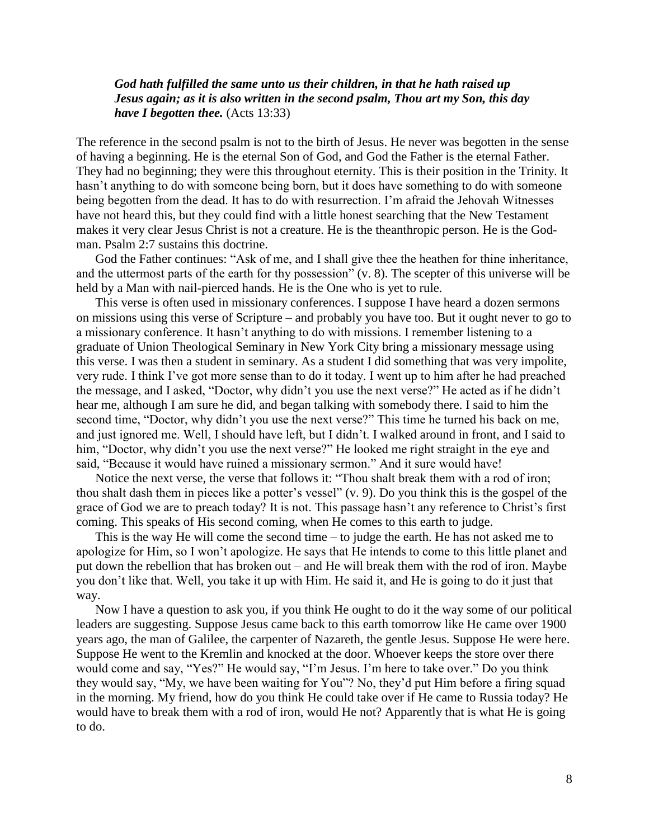### *God hath fulfilled the same unto us their children, in that he hath raised up Jesus again; as it is also written in the second psalm, Thou art my Son, this day have I begotten thee.* (Acts 13:33)

The reference in the second psalm is not to the birth of Jesus. He never was begotten in the sense of having a beginning. He is the eternal Son of God, and God the Father is the eternal Father. They had no beginning; they were this throughout eternity. This is their position in the Trinity. It hasn't anything to do with someone being born, but it does have something to do with someone being begotten from the dead. It has to do with resurrection. I"m afraid the Jehovah Witnesses have not heard this, but they could find with a little honest searching that the New Testament makes it very clear Jesus Christ is not a creature. He is the theanthropic person. He is the Godman. Psalm 2:7 sustains this doctrine.

God the Father continues: "Ask of me, and I shall give thee the heathen for thine inheritance, and the uttermost parts of the earth for thy possession" (v. 8). The scepter of this universe will be held by a Man with nail-pierced hands. He is the One who is yet to rule.

This verse is often used in missionary conferences. I suppose I have heard a dozen sermons on missions using this verse of Scripture – and probably you have too. But it ought never to go to a missionary conference. It hasn"t anything to do with missions. I remember listening to a graduate of Union Theological Seminary in New York City bring a missionary message using this verse. I was then a student in seminary. As a student I did something that was very impolite, very rude. I think I"ve got more sense than to do it today. I went up to him after he had preached the message, and I asked, "Doctor, why didn"t you use the next verse?" He acted as if he didn"t hear me, although I am sure he did, and began talking with somebody there. I said to him the second time, "Doctor, why didn"t you use the next verse?" This time he turned his back on me, and just ignored me. Well, I should have left, but I didn"t. I walked around in front, and I said to him, "Doctor, why didn't you use the next verse?" He looked me right straight in the eye and said, "Because it would have ruined a missionary sermon." And it sure would have!

Notice the next verse, the verse that follows it: "Thou shalt break them with a rod of iron; thou shalt dash them in pieces like a potter"s vessel" (v. 9). Do you think this is the gospel of the grace of God we are to preach today? It is not. This passage hasn't any reference to Christ's first coming. This speaks of His second coming, when He comes to this earth to judge.

This is the way He will come the second time – to judge the earth. He has not asked me to apologize for Him, so I won"t apologize. He says that He intends to come to this little planet and put down the rebellion that has broken out – and He will break them with the rod of iron. Maybe you don"t like that. Well, you take it up with Him. He said it, and He is going to do it just that way.

Now I have a question to ask you, if you think He ought to do it the way some of our political leaders are suggesting. Suppose Jesus came back to this earth tomorrow like He came over 1900 years ago, the man of Galilee, the carpenter of Nazareth, the gentle Jesus. Suppose He were here. Suppose He went to the Kremlin and knocked at the door. Whoever keeps the store over there would come and say, "Yes?" He would say, "I'm Jesus. I'm here to take over." Do you think they would say, "My, we have been waiting for You"? No, they"d put Him before a firing squad in the morning. My friend, how do you think He could take over if He came to Russia today? He would have to break them with a rod of iron, would He not? Apparently that is what He is going to do.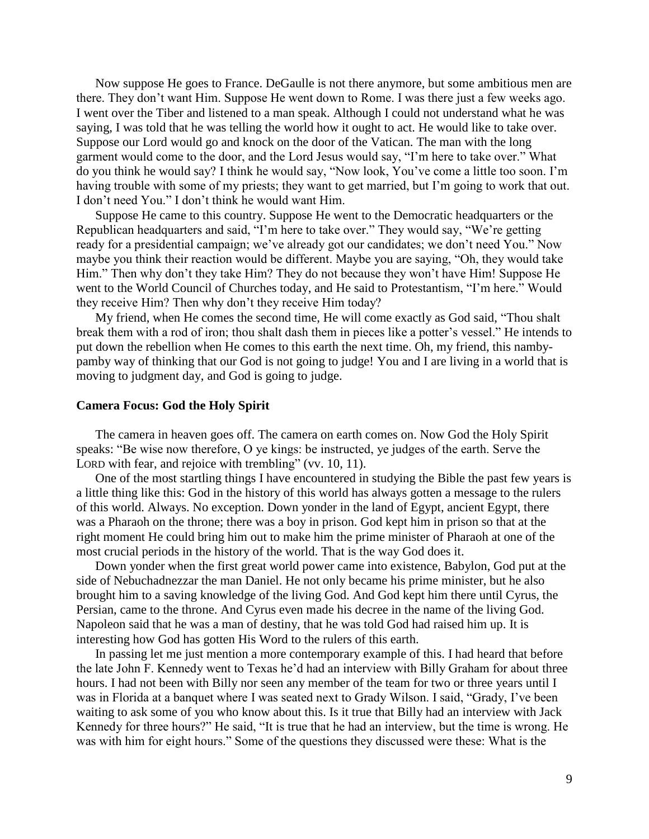Now suppose He goes to France. DeGaulle is not there anymore, but some ambitious men are there. They don"t want Him. Suppose He went down to Rome. I was there just a few weeks ago. I went over the Tiber and listened to a man speak. Although I could not understand what he was saying, I was told that he was telling the world how it ought to act. He would like to take over. Suppose our Lord would go and knock on the door of the Vatican. The man with the long garment would come to the door, and the Lord Jesus would say, "I"m here to take over." What do you think he would say? I think he would say, "Now look, You"ve come a little too soon. I"m having trouble with some of my priests; they want to get married, but I"m going to work that out. I don"t need You." I don"t think he would want Him.

Suppose He came to this country. Suppose He went to the Democratic headquarters or the Republican headquarters and said, "I"m here to take over." They would say, "We"re getting ready for a presidential campaign; we've already got our candidates; we don't need You." Now maybe you think their reaction would be different. Maybe you are saying, "Oh, they would take Him." Then why don"t they take Him? They do not because they won"t have Him! Suppose He went to the World Council of Churches today, and He said to Protestantism, "I'm here." Would they receive Him? Then why don"t they receive Him today?

My friend, when He comes the second time, He will come exactly as God said, "Thou shalt break them with a rod of iron; thou shalt dash them in pieces like a potter"s vessel." He intends to put down the rebellion when He comes to this earth the next time. Oh, my friend, this nambypamby way of thinking that our God is not going to judge! You and I are living in a world that is moving to judgment day, and God is going to judge.

#### **Camera Focus: God the Holy Spirit**

The camera in heaven goes off. The camera on earth comes on. Now God the Holy Spirit speaks: "Be wise now therefore, O ye kings: be instructed, ye judges of the earth. Serve the LORD with fear, and rejoice with trembling" (vv. 10, 11).

One of the most startling things I have encountered in studying the Bible the past few years is a little thing like this: God in the history of this world has always gotten a message to the rulers of this world. Always. No exception. Down yonder in the land of Egypt, ancient Egypt, there was a Pharaoh on the throne; there was a boy in prison. God kept him in prison so that at the right moment He could bring him out to make him the prime minister of Pharaoh at one of the most crucial periods in the history of the world. That is the way God does it.

Down yonder when the first great world power came into existence, Babylon, God put at the side of Nebuchadnezzar the man Daniel. He not only became his prime minister, but he also brought him to a saving knowledge of the living God. And God kept him there until Cyrus, the Persian, came to the throne. And Cyrus even made his decree in the name of the living God. Napoleon said that he was a man of destiny, that he was told God had raised him up. It is interesting how God has gotten His Word to the rulers of this earth.

In passing let me just mention a more contemporary example of this. I had heard that before the late John F. Kennedy went to Texas he"d had an interview with Billy Graham for about three hours. I had not been with Billy nor seen any member of the team for two or three years until I was in Florida at a banquet where I was seated next to Grady Wilson. I said, "Grady, I"ve been waiting to ask some of you who know about this. Is it true that Billy had an interview with Jack Kennedy for three hours?" He said, "It is true that he had an interview, but the time is wrong. He was with him for eight hours." Some of the questions they discussed were these: What is the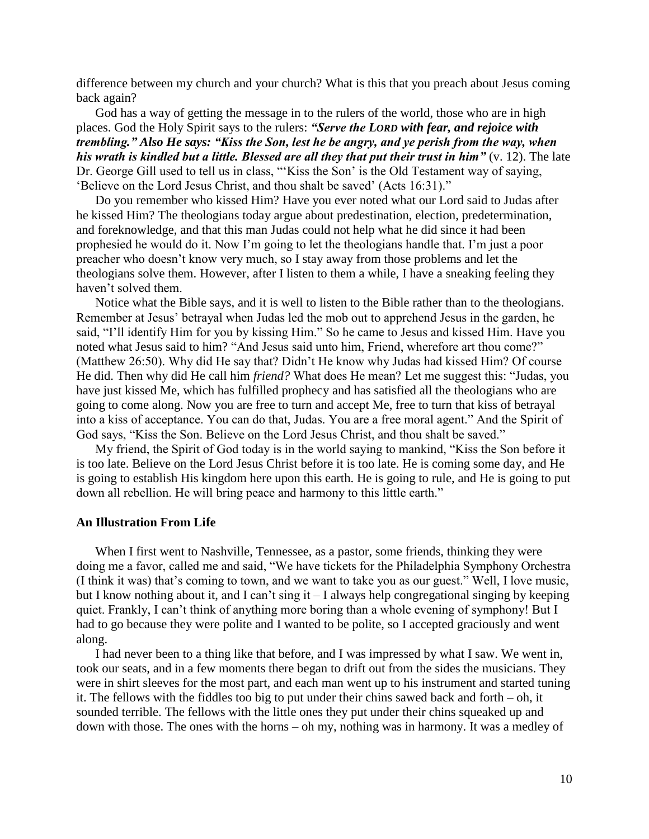difference between my church and your church? What is this that you preach about Jesus coming back again?

God has a way of getting the message in to the rulers of the world, those who are in high places. God the Holy Spirit says to the rulers: *"Serve the LORD with fear, and rejoice with trembling." Also He says: "Kiss the Son, lest he be angry, and ye perish from the way, when his wrath is kindled but a little. Blessed are all they that put their trust in him"* (v. 12). The late Dr. George Gill used to tell us in class, "Kiss the Son' is the Old Testament way of saying, "Believe on the Lord Jesus Christ, and thou shalt be saved" (Acts 16:31)."

Do you remember who kissed Him? Have you ever noted what our Lord said to Judas after he kissed Him? The theologians today argue about predestination, election, predetermination, and foreknowledge, and that this man Judas could not help what he did since it had been prophesied he would do it. Now I"m going to let the theologians handle that. I"m just a poor preacher who doesn"t know very much, so I stay away from those problems and let the theologians solve them. However, after I listen to them a while, I have a sneaking feeling they haven't solved them.

Notice what the Bible says, and it is well to listen to the Bible rather than to the theologians. Remember at Jesus' betrayal when Judas led the mob out to apprehend Jesus in the garden, he said, "I"ll identify Him for you by kissing Him." So he came to Jesus and kissed Him. Have you noted what Jesus said to him? "And Jesus said unto him, Friend, wherefore art thou come?" (Matthew 26:50). Why did He say that? Didn"t He know why Judas had kissed Him? Of course He did. Then why did He call him *friend?* What does He mean? Let me suggest this: "Judas, you have just kissed Me, which has fulfilled prophecy and has satisfied all the theologians who are going to come along. Now you are free to turn and accept Me, free to turn that kiss of betrayal into a kiss of acceptance. You can do that, Judas. You are a free moral agent." And the Spirit of God says, "Kiss the Son. Believe on the Lord Jesus Christ, and thou shalt be saved."

My friend, the Spirit of God today is in the world saying to mankind, "Kiss the Son before it is too late. Believe on the Lord Jesus Christ before it is too late. He is coming some day, and He is going to establish His kingdom here upon this earth. He is going to rule, and He is going to put down all rebellion. He will bring peace and harmony to this little earth."

#### **An Illustration From Life**

When I first went to Nashville, Tennessee, as a pastor, some friends, thinking they were doing me a favor, called me and said, "We have tickets for the Philadelphia Symphony Orchestra (I think it was) that"s coming to town, and we want to take you as our guest." Well, I love music, but I know nothing about it, and I can't sing it  $-$  I always help congregational singing by keeping quiet. Frankly, I can"t think of anything more boring than a whole evening of symphony! But I had to go because they were polite and I wanted to be polite, so I accepted graciously and went along.

I had never been to a thing like that before, and I was impressed by what I saw. We went in, took our seats, and in a few moments there began to drift out from the sides the musicians. They were in shirt sleeves for the most part, and each man went up to his instrument and started tuning it. The fellows with the fiddles too big to put under their chins sawed back and forth – oh, it sounded terrible. The fellows with the little ones they put under their chins squeaked up and down with those. The ones with the horns – oh my, nothing was in harmony. It was a medley of